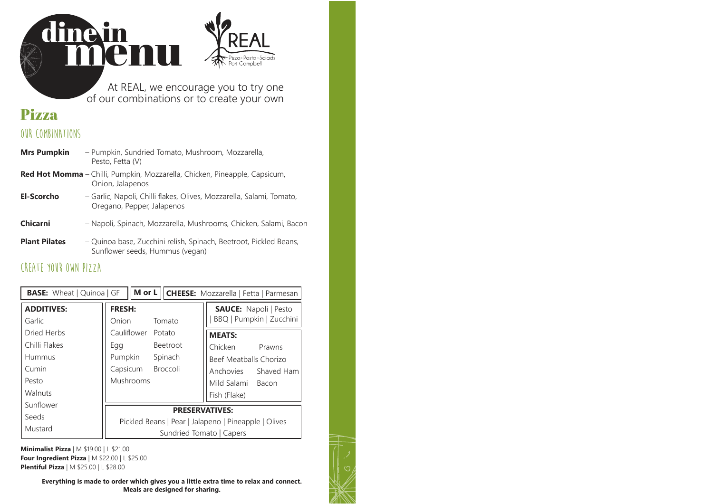#### At REAL, we encourage you to try one of our combinations or to create your own

Pizza • Pasta • Port Comphe

# **Pizza**

#### **OUR COMBINATIONS**

linein<br>IMEI

M

| <b>Mrs Pumpkin</b>   | - Pumpkin, Sundried Tomato, Mushroom, Mozzarella,<br>Pesto, Fetta (V)                                |
|----------------------|------------------------------------------------------------------------------------------------------|
|                      | Red Hot Momma - Chilli, Pumpkin, Mozzarella, Chicken, Pineapple, Capsicum,<br>Onion, Jalapenos       |
| El-Scorcho           | - Garlic, Napoli, Chilli flakes, Olives, Mozzarella, Salami, Tomato,<br>Oregano, Pepper, Jalapenos   |
| Chicarni             | - Napoli, Spinach, Mozzarella, Mushrooms, Chicken, Salami, Bacon                                     |
| <b>Plant Pilates</b> | - Quinoa base, Zucchini relish, Spinach, Beetroot, Pickled Beans,<br>Sunflower seeds, Hummus (vegan) |

### **CREATE YOUR OWN PIZZA**

| M or L   CHEESE: Mozzarella   Fetta   Parmesan<br><b>BASE:</b> Wheat   Quinoa   GF |                                                      |                                                          |  |  |  |  |  |  |  |
|------------------------------------------------------------------------------------|------------------------------------------------------|----------------------------------------------------------|--|--|--|--|--|--|--|
| <b>ADDITIVES:</b><br>Garlic                                                        | <b>FRESH:</b><br>Onion<br>Tomato                     | <b>SAUCE:</b> Napoli   Pesto<br>BBQ   Pumpkin   Zucchini |  |  |  |  |  |  |  |
| Dried Herbs                                                                        | Cauliflower<br>Potato                                | <b>MEATS:</b>                                            |  |  |  |  |  |  |  |
| Chilli Flakes                                                                      | <b>Beetroot</b><br>Egg                               | Chicken<br>Prawns                                        |  |  |  |  |  |  |  |
| Hummus                                                                             | Pumpkin<br>Spinach<br>Beef Meatballs Chorizo         |                                                          |  |  |  |  |  |  |  |
| Cumin                                                                              | Capsicum Broccoli                                    | Anchovies Shaved Ham                                     |  |  |  |  |  |  |  |
| Pesto                                                                              | Mushrooms                                            | Mild Salami Bacon                                        |  |  |  |  |  |  |  |
| Walnuts                                                                            |                                                      | Fish (Flake)                                             |  |  |  |  |  |  |  |
| Sunflower                                                                          | <b>PRESERVATIVES:</b>                                |                                                          |  |  |  |  |  |  |  |
| Seeds                                                                              | Pickled Beans   Pear   Jalapeno   Pineapple   Olives |                                                          |  |  |  |  |  |  |  |
| Mustard                                                                            | Sundried Tomato   Capers                             |                                                          |  |  |  |  |  |  |  |

**Minimalist Pizza** | M \$19.00 | L \$21.00 **Four Ingredient Pizza** | M \$22.00 | L \$25.00 **Plentiful Pizza** | M \$25.00 | L \$28.00

> **Everything is made to order which gives you a little extra time to relax and connect. Meals are designed for sharing.**